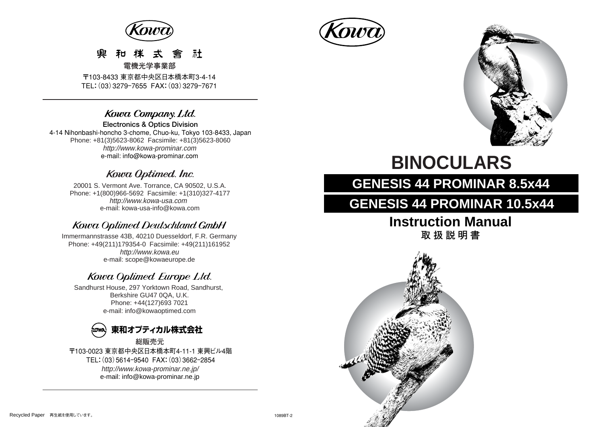

#### 凾 社 **電機光学事業部**

〒103-8433 東京都中央区日本橋本町3-4-14 TEL:(03)3279ー7655 FAX:(03)3279ー7671

### Kowa Company. Ltd.

**Electronics & Optics Division**  4-14 Nihonbashi-honcho 3-chome, Chuo-ku, Tokyo 103-8433, Japan Phone: +81(3)5623-8062 Facsimile: +81(3)5623-8060 http://www.kowa-prominar.com e-mail: info@kowa-prominar.com

### Kowa Optimed. Inc.

20001 S. Vermont Ave. Torrance, CA 90502, U.S.A. Phone: +1(800)966-5692 Facsimile: +1(310)327-4177 e-mail: kowa-usa-info@kowa.com http://www.kowa-usa.com

### **Kowa Optimed Deutschland GmbH**

http://www.kowa.eu e-mail: scope@kowaeurope.de Immermannstrasse 43B, 40210 Duesseldorf, F.R. Germany Phone: +49(211)179354-0 Facsimile: +49(211)161952

## Kowa Optimed Europe Ltd.

Sandhurst House, 297 Yorktown Road, Sandhurst, Berkshire GU47 0QA, U.K. Phone: +44(127)693 7021 e-mail: info@kowaoptimed.com



〒103-0023 東京都中央区日本橋本町4-11-1 東興ビル4階 TEL:(03)5614ー9540 FAX:(03)3662ー2854 http://www.kowa-prominar.ne.jp/ e-mail: info@kowa-prominar.ne.jp **総販売元** 





# **BINOCULARS**

# **GENESIS 44 PROMINAR 8.5x44**

# **GENESIS 44 PROMINAR 10.5x44**

# **Instruction Manual**

**取扱説明書** 

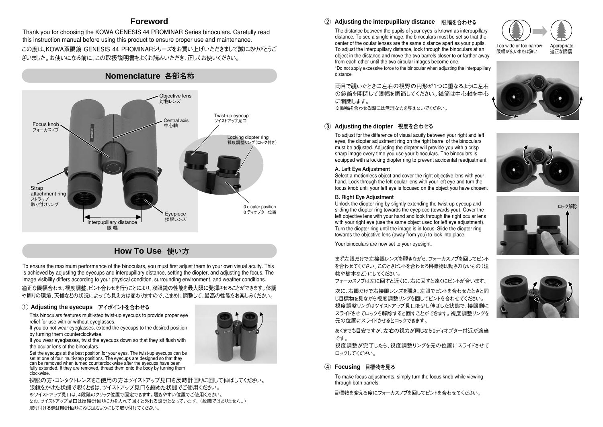### **Foreword**

この度は、KOWA双眼鏡 GENESIS 44 PROMINARシリーズをお買い上げいただきまして誠にありがとうご ざいました。お使いになる前に、この取扱説明書をよくお読みいただき、正しくお使いください。 Thank you for choosing the KOWA GENESIS 44 PROMINAR Series binoculars. Carefully read this instruction manual before using this product to ensure proper use and maintenance.



**How To Use 使い方** 

To ensure the maximum performance of the binoculars, you must first adjust them to your own visual acuity. This is achieved by adjusting the eyecups and interpupillary distance, setting the diopter, and adjusting the focus. The image visibility differs according to your physical condition, surrounding environment, and weather conditions.

適正な眼幅合わせ、視度調整、ピント合わせを行うことにより、双眼鏡の性能を最大限に発揮させることができます。体調 や周りの環境、天候などの状況によっても見え方は変わりますので、こまめに調整して、最高の性能をお楽しみください。

#### **Adjusting the eyecups ① アイポイントを合わせる**

This binoculars features multi-step twist-up eyecups to provide proper eye relief for use with or without evenlasses.

If you do not wear eyeglasses, extend the eyecups to the desired position by turning them counterclockwise.

If you wear eyeglasses, twist the eyecups down so that they sit flush with the ocular lens of the binoculars.

Set the eyecups at the best position for your eyes. The twist-up eyecups can be set at one of four multi-step positions. The eyecups are designed so that they can be removed when turned counterclockwise after the eyecups have been fully extended. If they are removed, thread them onto the body by turning them clockwise.

裸眼の方・コンタクトレンズをご使用の方はツイストアップ見口を反時計回りに回して伸ばしてください。 眼鏡をかけた状態で覗くときは、ツイストアップ見口を縮めた状態でご使用ください。 ※ツイストアップ見口は、4段階のクリック位置で固定できます。覗きやすい位置でご使用ください。 なお、ツイストアップ見口は反時計回りに力を入れて回すと外れる設計となっています。(故障ではありません。) 取り付ける際は時計回りにねじ込むようにして取り付けてください。

#### **② Adjusting the interpupillary distance 眼幅を合わせる**

The distance between the pupils of your eyes is known as interpupillary distance. To see a single image, the binoculars must be set so that the center of the ocular lenses are the same distance apart as your pupils. To adjust the interpupillary distance, look through the binoculars at an object in the distance and move the two barrels closer to or farther away from each other until the two circular images become one.



\*Do not apply excessive force to the binocular when adjusting the interpupillary distance

両目で覗いたときに左右の視野の円形が1つに重なるように左右 の鏡筒を開閉して眼幅を調節してください。鏡筒は中心軸を中心 に開閉します。

※眼幅を合わせる際には無理な力を与えないでください。

#### **③ Adjusting the diopter 視度を合わせる**

To adjust for the difference of visual acuity between your right and left eyes, the diopter adjustment ring on the right barrel of the binoculars must be adjusted. Adjusting the diopter will provide you with a crisp sharp image every time you use your binoculars. The binoculars is equipped with a locking diopter ring to prevent accidental readjustment.

#### **A. Left Eye Adjustment**

Select a motionless object and cover the right objective lens with your hand. Look through the left ocular lens with your left eye and turn the focus knob until your left eye is focused on the object you have chosen.

#### **B. Right Eye Adjustment**

Unlock the diopter ring by slightly extending the twist-up eyecup and sliding the diopter ring towards the eyepiece (towards you). Cover the left objective lens with your hand and look through the right ocular lens with your right eye (use the same object used for left eye adjustment). Turn the diopter ring until the image is in focus. Slide the diopter ring towards the objective lens (away from you) to lock into place.

Your binoculars are now set to your eyesight.

まず左眼だけで左接眼レンズを覗きながら、フォーカスノブを回してピント を合わせてください。このときピントを合わせる目標物は動きのないもの(建 物や樹木など) にしてください。

フォーカスノブは左に回すと近くに、右に回すと遠くにピントが合います。

次に、右眼だけで右接眼レンズを覗き、左眼でピントを合わせたときと同 じ目標物を見ながら視度調整リングを回してピントを合わせてください。 視度調整リングはツイストアップ見口を少し伸ばした状態で、接眼側に スライドさせてロックを解除すると回すことができます。視度調整リングを 元の位置にスライドさせるとロックできます。

あくまでも目安ですが、左右の視力が同じなら0ディオプター付近が適当 です。

視度調整が完了したら、視度調整リングを元の位置にスライドさせて ロックしてください。

#### **④ Focusing 目標物を見る**

To make focus adjustments, simply turn the focus knob while viewing through both barrels.

目標物を変える度にフォーカスノブを回してピントを合わせてください。







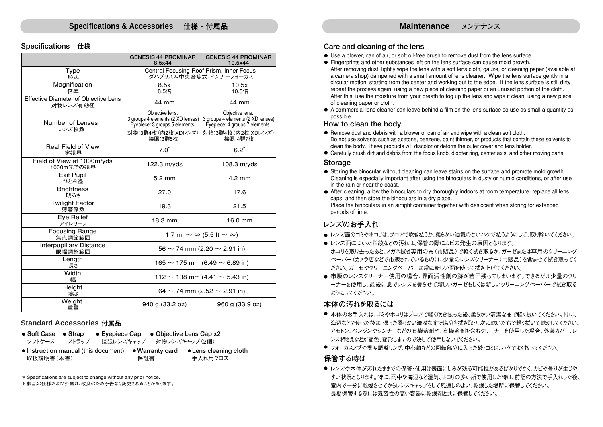#### **Specifications 仕様**

|                                                  | <b>GENESIS 44 PROMINAR</b><br>8.5x44                                                                                    | <b>GENESIS 44 PROMINAR</b><br>10.5x44                                                                                   |  |  |  |
|--------------------------------------------------|-------------------------------------------------------------------------------------------------------------------------|-------------------------------------------------------------------------------------------------------------------------|--|--|--|
| Type<br>形式                                       | Central Focusing Roof Prism, Inner Focus<br>ダハプリズム中央合焦式、インナーフォーカス                                                       |                                                                                                                         |  |  |  |
| Magnification<br>倍率                              | 8.5x<br>8.5倍                                                                                                            | 10.5x<br>10.5倍                                                                                                          |  |  |  |
| Effective Diameter of Objective Lens<br>対物レンズ有効径 | 44 mm                                                                                                                   | 44 mm                                                                                                                   |  |  |  |
| Number of Lenses<br>レンズ枚数                        | Obiective lens:<br>3 groups 4 elements (2 XD lenses)<br>Eyepiece: 3 groups 5 elements<br>対物:3群4枚 (内2枚 XDレンズ)<br>接眼:3群5枚 | Obiective lens:<br>3 groups 4 elements (2 XD lenses)<br>Eyepiece: 4 groups 7 elements<br>対物:3群4枚 (内2枚 XDレンズ)<br>接眼:4群7枚 |  |  |  |
| Real Field of View<br>実視界                        | $7.0^\circ$                                                                                                             | $6.2^\circ$                                                                                                             |  |  |  |
| Field of View at 1000m/yds<br>1000m先での視界         | $122.3$ m/yds                                                                                                           | $108.3$ m/yds                                                                                                           |  |  |  |
| <b>Exit Pupil</b><br>ひとみ径                        | $5.2 \text{ mm}$                                                                                                        | $4.2 \text{ mm}$                                                                                                        |  |  |  |
| <b>Brightness</b><br>明るさ                         | 27.0                                                                                                                    | 17.6                                                                                                                    |  |  |  |
| <b>Twilight Factor</b><br>薄暮係数                   | 19.3                                                                                                                    | 21.5                                                                                                                    |  |  |  |
| <b>Eve Relief</b><br>アイレリーフ                      | 18.3 mm                                                                                                                 | 16.0 mm                                                                                                                 |  |  |  |
| <b>Focusing Range</b><br>焦点調節範囲                  | 1.7 m $\sim \infty$ (5.5 ft $\sim \infty$ )                                                                             |                                                                                                                         |  |  |  |
| <b>Interpupillary Distance</b><br>眼幅調整範囲         | $56 \sim 74$ mm (2.20 $\sim$ 2.91 in)                                                                                   |                                                                                                                         |  |  |  |
| Length<br>長さ                                     | $165 \sim 175$ mm (6.49 $\sim$ 6.89 in)                                                                                 |                                                                                                                         |  |  |  |
| Width<br>幅                                       | $112 \sim 138$ mm (4.41 $\sim$ 5.43 in)                                                                                 |                                                                                                                         |  |  |  |
| Height<br>高さ                                     | 64 ~ 74 mm (2.52 ~ 2.91 in)                                                                                             |                                                                                                                         |  |  |  |
| Weight<br>重量                                     | 940 g (33.2 oz)                                                                                                         | 960 g (33.9 oz)                                                                                                         |  |  |  |

#### **Standard Accessories 付属品**

| $\bullet$ Soft Case $\bullet$ Strap                                  |       |     | • Eyepiece Cap • Objective Lens Cap $x^2$ |  |
|----------------------------------------------------------------------|-------|-----|-------------------------------------------|--|
| ソフトケース                                                               | ストラップ |     | 接眼レンズキャップ 対物レンズキャップ (2個)                  |  |
| $\bullet$ Instruction manual (this document) $\bullet$ Warranty card |       |     | • Lens cleaning cloth                     |  |
| 取扱説明書(本書)                                                            |       | 保証書 | 手入れ用クロス                                   |  |

\* Specifications are subject to change without any prior notice.

\* 製品の仕様および外観は、改良のため予告なく変更されることがあります。

### **Care and cleaning of the lens**

- Use a blower, can of air, or soft oil-free brush to remove dust from the lens surface.
- Fingerprints and other substances left on the lens surface can cause mold growth. After removing dust, lightly wipe the lens with a soft lens cloth, gauze, or cleaning paper (available at a camera shop) dampened with a small amount of lens cleaner. Wipe the lens surface gently in a circular motion, starting from the center and working out to the edge. If the lens surface is still dirty repeat the process again, using a new piece of cleaning paper or an unused portion of the cloth. After this, use the moisture from your breath to fog up the lens and wipe it clean, using a new piece of cleaning paper or cloth.
- A commercial lens cleaner can leave behind a film on the lens surface so use as small a quantity as possible.

#### **How to clean the body**

- $\bullet$  Remove dust and debris with a blower or can of air and wipe with a clean soft cloth. Do not use solvents such as acetone, benzene, paint thinner, or products that contain these solvents to clean the body. These products will discolor or deform the outer cover and lens holder.
- Carefully brush dirt and debris from the focus knob, diopter ring, center axis, and other moving parts.

#### **Storage**

- Storing the binocular without cleaning can leave stains on the surface and promote mold growth. Cleaning is especially important after using the binoculars in dusty or humid conditions, or after use in the rain or near the coast.
- After cleaning, allow the binoculars to dry thoroughly indoors at room temperature, replace all lens caps, and then store the binoculars in a dry place. Place the binoculars in an airtight container together with desiccant when storing for extended periods of time.

### **レンズのお手入れ**

- レンズ面のゴミやホコリは、ブロアで吹き払うか、柔らかい油気のないハケで払うようにして、取り除いてください。
- レンズ面についた指紋などの汚れは、保管の際にカビの発生の原因となります。
- ホコリを取り去ったあと、メガネ拭き専用の布(市販品)で軽く拭き取るか、ガーゼまたは専用のクリーニング ペーパー(カメラ店などで市販されているもの)に少量のレンズクリーナー(市販品)を含ませて拭き取ってく ださい。ガーゼやクリーニングペーパーは常に新しい面を使って拭き上げてください。
- 市販のレンズクリーナー使用の場合、界面活性剤の跡が若干残ってしまいます。 できるだけ少量のクリ ーナーを使用し、最後に息でレンズを曇らせて新しいガーゼもしくは新しいクリーニングペーパーで拭き取る ようにしてください。

#### **本体の汚れを取るには**

- 本体のお手入れは、ゴミやホコリはブロアで軽く吹き払った後、柔らかい清潔な布で軽く拭いてください。特に、 海辺などで使った後は、湿った柔らかい清潔な布で塩分を拭き取り、次に乾いた布で軽く拭いて乾かしてください。 アセトン、ベンジンやシンナーなどの有機溶剤や、有機溶剤を含むクリーナーを使用した場合、外装カバー、レ ンズ押さえなどが変色、変形しますので決して使用しないでください。
- フォーカスノブや視度調整リング、中心軸などの回転部分に入った砂・ゴミは、ハケでよく払ってください。

#### **保管する時は**

● レンズや本体が汚れたままでの保管・使用は表面にしみが残る可能性があるばかりでなく、カビや曇りが生じや すい状況となります。特に、雨中や海辺など湿気、ホコリの多い所で使用した時は、前記の方法で手入れした後、 室内で十分に乾燥させてからレンズキャップをして風通しのよい、乾燥した場所に保管してください。 長期保管する際には気密性の高い容器に乾燥剤と共に保管してください。